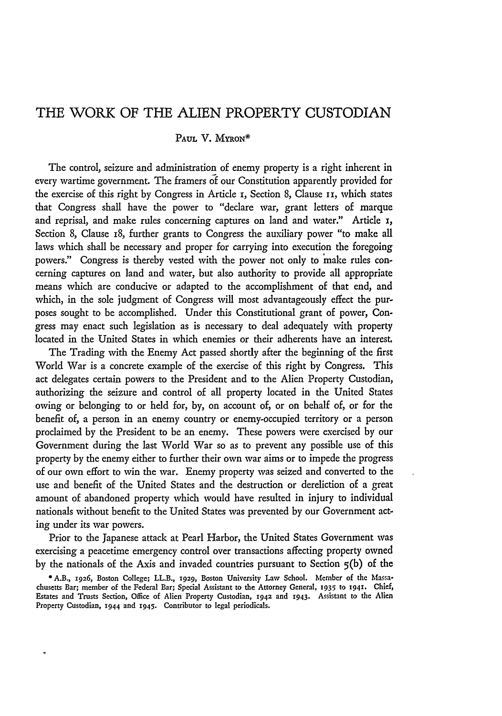# THE WORK OF THE ALIEN PROPERTY CUSTODIAN

# PAUL V. MYRON<sup>\*</sup>

The control, seizure and administration of enemy property is a right inherent in every wartime government. The framers of our Constitution apparently provided for the exercise of this right by Congress in Article **1**, Section 8, Clause **11**, which states that Congress shall have the power to "declare war, grant letters of marque and reprisal, and make rules concerning captures on land and water." Article I, Section 8, Clause 18, further grants to Congress the auxiliary power "to make all laws which shall be necessary and proper for carrying into execution the foregoing powers." Congress is thereby vested with the power not only to make rules concerning captures on land and water, but also authority to provide all appropriate means which are conducive or adapted to the accomplishment of that end, and which, in the sole judgment of Congress will most advantageously effect the purposes sought to be accomplished. Under this Constitutional grant of power, Congress may enact such legislation as is necessary to deal adequately with property located in the United States in which enemies or their adherents have an interest.

The Trading with the Enemy Act passed shortly after the beginning of the first World War is a concrete example of the exercise of this right by Congress. This act delegates certain powers to the President and to the Alien Property Custodian, authorizing the seizure and control of all property located in the United States owing or belonging to or held for, by, on account of, or on behalf of, or for the benefit of, a person in an enemy country or enemy-occupied territory or a person proclaimed by the President to be an enemy. These powers were exercised by our Government during the last World War so as to prevent any possible use of this property by the enemy either to further their own war aims or to impede the progress of our own effort to win the war. Enemy property was seized and converted to the use and benefit of the United States and the destruction or dereliction of a great amount of abandoned property which would have resulted in injury to individual nationals without benefit to the United States was prevented by our Government acting under its war powers.

Prior to the Japanese attack at Pearl Harbor, the United States Government was exercising a peacetime emergency control over transactions affecting property owned by the nationals of the Axis and invaded countries pursuant to Section 5(b) of the

<sup>\*</sup>A.B., 1926, Boston College; LL.B., 1929, Boston University Law School. Member of the Massachusetts Bar; member of the Federal Bar; Special Assistant to the Attorney General, **1935** to 1941. Chief, Estates and Trusts Section, Office of Alien Property Custodian, 1942 and 1943. Assistant to the Alien Property Custodian, 1944 and 1945. Contributor to legal periodicals.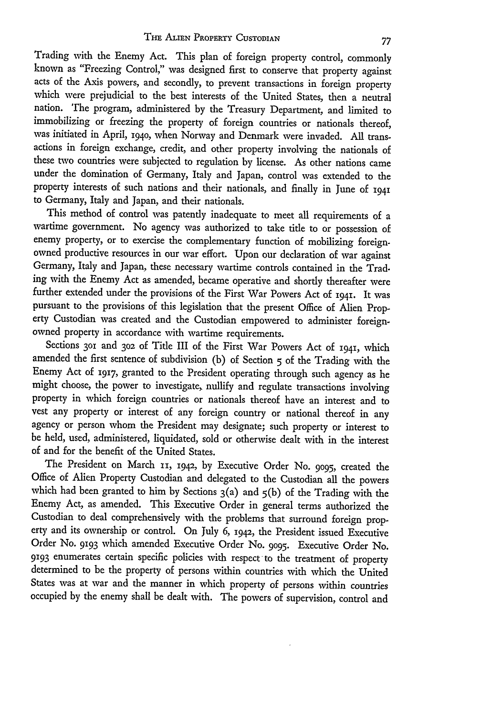Trading with the Enemy Act. This plan of foreign property control, commonly known as "Freezing Control," was designed first to conserve that property against acts of the Axis powers, and secondly, to prevent transactions in foreign property which were prejudicial to the best interests of the United States, then a neutral nation. The program, administered by the Treasury Department, and limited to immobilizing or freezing the property of foreign countries or nationals thereof, was initiated in April, **1940,** when Norway and Denmark were invaded. All transactions in foreign exchange, credit, and other property involving the nationals of these two countries were subjected to regulation by license. As other nations came under the domination of Germany, Italy and Japan, control was extended to the property interests of such nations and their nationals, and finally in June of **<sup>1941</sup>** to Germany, Italy and Japan, and their nationals.

This method of control was patently inadequate to meet all requirements of a wartime government. No agency was authorized to take title to or possession of enemy property, or to exercise the complementary function of mobilizing foreign-<br>owned productive resources in our war effort. Upon our declaration of war against Germany, Italy and Japan, these necessary wartime controls contained in the Trading with the Enemy Act as amended, became operative and shortly thereafter were further extended under the provisions of the First War Powers Act of **1941.** It was pursuant to the provisions of this legislation that the present Office of Alien Property Custodian was created and the Custodian empowered to administer foreignowned property in accordance with wartime requirements.

Sections **301** and **302** of Title III of the First War Powers Act of **1941,** which amended the first sentence of subdivision (b) of Section  $\varsigma$  of the Trading with the Enemy Act of 1917, granted to the President operating through such agency as he might choose, the power to investigate, nullify and regulate transactions involving property in which foreign countries or nationals thereof have an interest and to vest any property or interest of any foreign country or national thereof in any agency or person whom the President may designate; such property or interest to be held, used, administered, liquidated, sold or otherwise dealt with in the interest of and for the benefit of the United States.

The President on March **I,** 1942, **by** Executive Order No. 9o95, created the Office of Alien Property Custodian and delegated to the Custodian all the powers which had been granted to him by Sections 3(a) and **5(b)** of the Trading with the Enemy Act, as amended. This Executive Order in general terms authorized the Custodian to deal comprehensively with the problems that surround foreign property and its ownership or control. On July 6, **1942,** the President issued Executive Order No. 9193 which amended Executive Order No. **9o95.** Executive Order No. 9193 enumerates certain specific policies with respect to the treatment of property determined to be the property of persons within countries with which the United States was at war and the manner in which property of persons within countries occupied **by** the enemy shall be dealt with. The powers of supervision, control and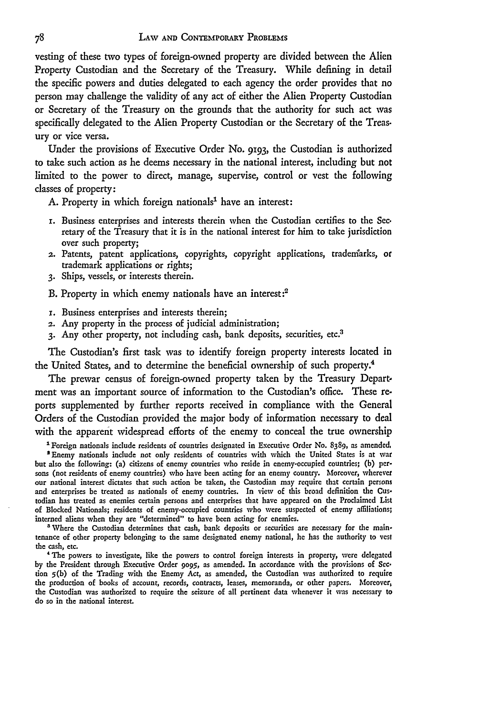vesting of these two types of foreign-owned property are divided between the Alien Property Custodian and the Secretary of the Treasury. While defining in detail the specific powers and duties delegated to each agency the order provides that no person may challenge the validity of any act of either the Alien Property Custodian or Secretary of the Treasury on the grounds that the authority for such act was specifically delegated to the Alien Property Custodian or the Secretary of the Treas. ury or vice versa.

Under the provisions of Executive Order No. 9193, the Custodian is authorized to take such action as he deems necessary in the national interest, including but not limited to the power to direct, manage, supervise, control or vest the following classes of property:

A. Property in which foreign nationals<sup>1</sup> have an interest:

- i. Business enterprises and interests therein when the Custodian certifies to the Sec. retary of the Treasury that it is in the national interest for him to take jurisdiction over such property;
- 2. Patents, patent applications, copyrights, copyright applications, trademarks, or trademark applications or rights;
- *3.* Ships, vessels, or interests therein.
- B. Property in which enemy nationals have an interest:2
- **z.** Business enterprises and interests therein;
- **2.** Any property in the process of judicial administration;
- *3-* Any other property, not including cash, bank deposits, securities, etc. <sup>3</sup>

The Custodian's first task was to identify foreign property interests located in the United States, and to determine the beneficial ownership of such property

The prewar census of foreign-owned property taken by the Treasury Department was an important source of information to the Custodian's office. These reports supplemented **by** further reports received in compliance with the General Orders of the Custodian provided the major body of information necessary to deal with the apparent widespread efforts of the enemy to conceal the true ownership

<sup>1</sup> Foreign nationals include residents of countries designated in Executive Order No. 8389, as amended. <sup>9</sup> Enemy nationals include not only residents of countries with which the United States is at war

but also the following: (a) citizens of enemy countries who reside in enemy-occupied countries; (b) persons (not residents of enemy countries) who have been acting for an enemy country. Moreover, whercver our national interest dictates that such action be taken, the Custodian may require that certain persons and enterprises be treated as nationals of enemy countries. In view of this broad definition the Custodian has treated as enemies certain persons and enterprises that have appeared on the Proclaimed List of Blocked Nationals; residents of enemy-occupied countries who were suspected of enemy affiliations; interned aliens when they are "determined" to have been acting for enemies.

<sup>3</sup> Where the Custodian determines that cash, bank deposits or securities are necessary for the maintenance of other property belonging to the same designated enemy national, he has the authority to vest the cash, etc.

**'** The powers to investigate, like the powers to control foreign interests in property, were delegated by the President through Executive Order **9095,** as amended. In accordance with the provisions of Sec. tion 5(b) of the Trading with the Enemy Act, as amended, the Custodian was authorized to require the production of books of account, records, contracts, leases, memoranda, or other papers. Moreover, the Custodian was authorized to require the seizure of all pertinent data whenever it was necessary to do so in the national interest.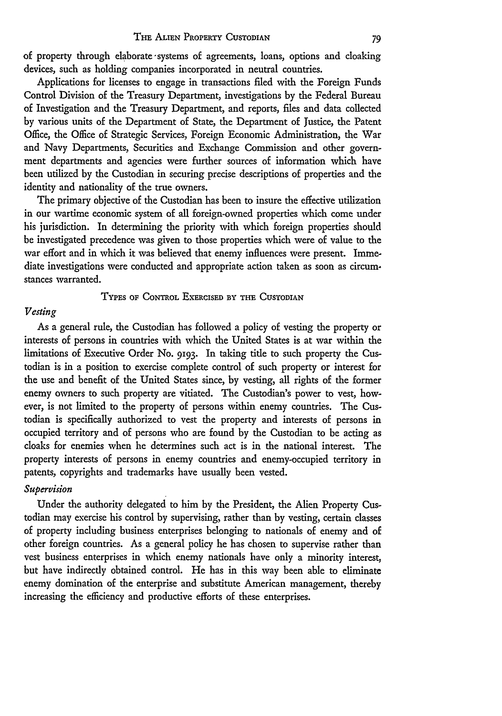of property through elaborate -systems of agreements, loans, options and cloaking devices, such as holding companies incorporated in neutral countries.

Applications for licenses to engage in transactions filed with the Foreign Funds Control Division of the Treasury Department, investigations by the Federal Bureau of Investigation and the Treasury Department, and reports, files and data collected by various units of the Department of State, the Department of Justice, the Patent Office, the Office of Strategic Services, Foreign Economic Administration, the War and Navy Departments, Securities and Exchange Commission and other government departments and agencies were further sources of information which have been utilized by the Custodian in securing precise descriptions of properties and the identity and nationality of the true owners.

The primary objective of the Custodian has been to insure the effective utilization in our wartime economic system of all foreign-owned properties which come under his jurisdiction. In determining the priority with which foreign properties should be investigated precedence was given to those properties which were of value to the war effort and in which it was believed that enemy influences were present. Immediate investigations were conducted and appropriate action taken as soon as circum. stances warranted.

# TYPES **OF** CONTROL EXERCISED BY THE **CUSTODIAN**

### *Vesting*

As a general rule, the Custodian has followed a policy of vesting the property or interests of persons in countries with which the United States is at war within the limitations of Executive Order No. 9193. In taking tite to such property the Custodian is in a position to exercise complete control of such property or interest for the use and benefit of the United States since, by vesting, all rights of the former enemy owners to such property are vitiated. The Custodian's power to vest, however, is not limited to the property of persons within enemy countries. The Custodian is specifically authorized to vest the property and interests of persons in occupied territory and of persons who are found by the Custodian to be acting as cloaks for enemies when he determines such act is in the national interest. The property interests of persons in enemy countries and enemy-occupied territory in patents, copyrights and trademarks have usually been vested.

# *Supervision*

Under the authority delegated to him by the President, the Alien Property Custodian may exercise his control by supervising, rather than by vesting, certain classes of property including business enterprises belonging to nationals of enemy and of other foreign countries. As a general policy he has chosen to supervise rather than vest business enterprises in which enemy nationals have only a minority interest, but have indirectly obtained control. He has in this way been able to eliminate enemy domination of the enterprise and substitute American management, thereby increasing the efficiency and productive efforts of these enterprises.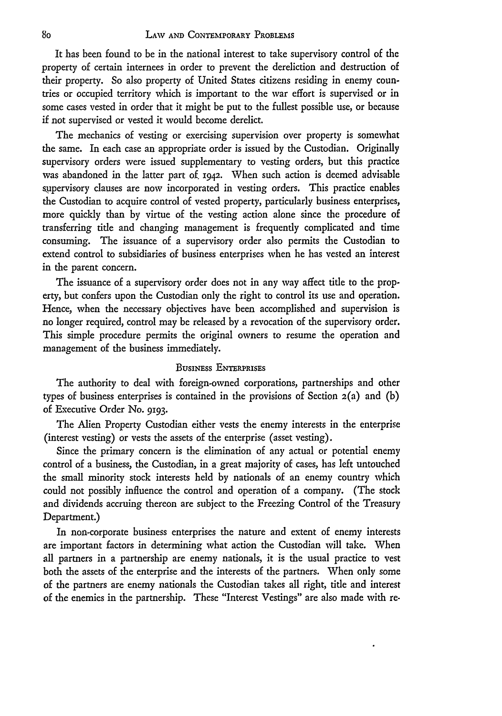It has been found to be in the national interest to take supervisory control of the property of certain internees in order to prevent the dereliction and destruction of their property. So also property of United States citizens residing in enemy countries or occupied territory which is important to the war effort is supervised or in some cases vested in order that it might be put to the fullest possible use, or because if not supervised or vested it would become derelict.

The mechanics of vesting or exercising supervision over property is somewhat the same. In each case an appropriate order is issued by the Custodian. Originally supervisory orders were issued supplementary to vesting orders, but this practice was abandoned in the latter part of. **1942.** When such action is deemed advisable supervisory clauses are now incorporated in vesting orders. This practice enables the Custodian to acquire control of vested property, particularly business enterprises, more quickly than by virtue of the vesting action alone since the procedure of transferring title and changing management is frequently complicated and time consuming. The issuance of a supervisory order also permits the Custodian to extend control to subsidiaries of business enterprises when he has vested an interest in the parent concern.

The issuance of a supervisory order does not in any way affect tide to the property, but confers upon the Custodian only the right to control its use and operation. Hence, when the necessary objectives have been accomplished and supervision is no longer required, control may be released by a revocation of the supervisory order. This simple procedure permits the original owners to resume the operation and management of the business immediately.

#### BusiNEss **ENTERPRisEs**

The authority to deal with foreign-owned corporations, partnerships and other types of business enterprises is contained in the provisions of Section  $2(a)$  and (b) of Executive Order No. 9193.

The Alien Property Custodian either vests the enemy interests in the enterprise (interest vesting) or vests the assets of the enterprise (asset vesting).

Since the primary concern is the elimination of any actual or potential enemy control of a business, the Custodian, in a great majority of cases, has left untouched the small minority stock interests held by nationals of an enemy country which could not possibly influence the control and operation of a company. (The stock and dividends accruing thereon are subject to the Freezing Control of the Treasury Department.)

In non-corporate business enterprises the nature and extent of enemy interests are important factors in determining what action the Custodian will take. When all partners in a partnership are enemy nationals, it is the usual practice to vest both the assets of the enterprise and the interests of the partners. When only some of the partners are enemy nationals the Custodian takes all right, title and interest of the enemies in the partnership. These "Interest Vestings" are also made with re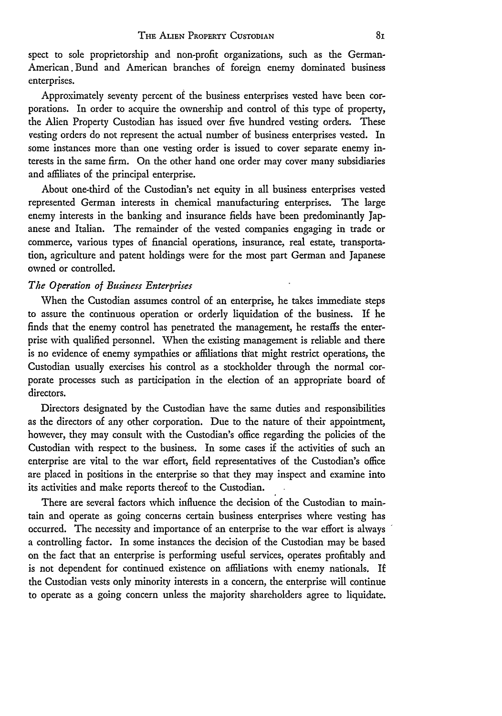spect to sole proprietorship and non-profit organizations, such as the German-American. Bund and American branches of foreign enemy dominated business enterprises.

Approximately seventy percent of the business enterprises vested have been corporations. In order to acquire the ownership and control of this type of property, the Alien Property Custodian has issued over five hundred vesting orders. These vesting orders do not represent the actual number of business enterprises vested. In some instances more than one vesting order is issued to cover separate enemy interests in the same firm. On the other hand one order may cover many subsidiaries and affiliates of the principal enterprise.

About one-third of the Custodian's net equity in all business enterprises vested represented German interests in chemical manufacturing enterprises. The large enemy interests in the banking and insurance fields have been predominantly Japanese and Italian. The remainder of the vested companies engaging in trade or commerce, various types of financial operations, insurance, real estate, transportation, agriculture and patent holdings were for the most part German and Japanese owned or controlled.

# *The Operation of Business Enterprises*

When the Custodian assumes control of an enterprise, he takes immediate steps to assure the continuous operation or orderly liquidation of the business. If he finds that the enemy control has penetrated the management, he restaffs the enterprise with qualified personnel. When the existing management is reliable and there is no evidence of enemy sympathies or affiliations that might restrict operations, the Custodian usually exercises his control as a stockholder through the normal corporate processes such as participation in the election of an appropriate board of directors.

Directors designated **by** the Custodian have the same duties and responsibilities as the directors of any other corporation. Due to the nature of their appointment, however, they may consult with the Custodian's office regarding the policies of the Custodian with respect to the business. In some cases if the activities of such an enterprise are vital to the **war** effort, field representatives of the Custodian's office are placed in positions in the enterprise so that they may inspect and examine into its activities and make reports thereof to the Custodian.

There are several factors which influence the decision of the Custodian to maintain and operate as going concerns certain business enterprises where vesting has occurred. The necessity and importance of an enterprise to the war effort is always a controlling factor. In some instances the decision of the Custodian may be based on the fact that an enterprise is performing useful services, operates profitably and is not dependent for continued existence on affiliations with enemy nationals. If the Custodian vests only minority interests in a concern, the enterprise will continue to operate as a **going** concern unless the majority shareholders agree to liquidate.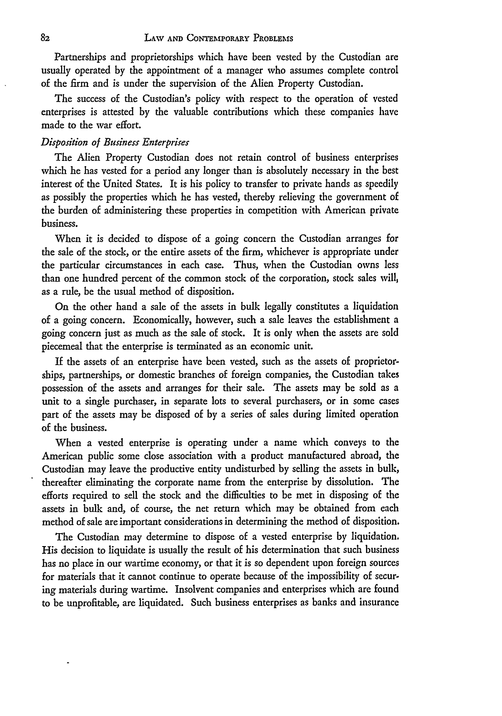Partnerships and proprietorships which have been vested by the Custodian are usually operated by the appointment of a manager who assumes complete control of the firm and is under the supervision of the Alien Property Custodian.

The success of the Custodian's policy with respect to the operation of vested enterprises is attested by the valuable contributions which these companies have made to the war effort.

# *Disposition of Business Enterprises*

The Alien Property Custodian does not retain control of business enterprises which he has vested for a period any longer than is absolutely necessary in the best interest of the United States. It is his policy to transfer to private hands as speedily as possibly the properties which he has vested, thereby relieving the government of the burden of administering these properties in competition with American private business.

When it is decided to dispose of a going concern the Custodian arranges for the sale of the stock, or the entire assets of the firm, whichever is appropriate under the particular circumstances in each case. Thus, when the Custodian owns less than one hundred percent of the common stock of the corporation, stock sales will, as a rule, be the usual method of disposition.

On the other hand a sale of the assets in bulk legally constitutes a liquidation of a going concern. Economically, however, such a sale leaves the establishment a going concern just as much as the sale of stock. It is only when the assets are sold piecemeal that the enterprise is terminated as an economic unit.

If the assets of an enterprise have been vested, such as the assets of proprietorships, partnerships, or domestic branches of foreign companies, the Custodian takes possession of the assets and arranges for their sale. The assets may be sold as a unit to a single purchaser, in separate lots to several purchasers, or in some cases part of the assets may be disposed of by a series of sales during limited operation of the business.

When a vested enterprise is operating under a name which conveys to the American public some close association with a product manufactured abroad, the Custodian may leave the productive entity undisturbed by selling the assets in bulk, thereafter eliminating the corporate name from the enterprise by dissolution. The efforts required to sell the stock and the difficulties to be met in disposing of the assets in bulk and, of course, the net return which may be obtained from each method of sale are important considerations in determining the method of disposition.

The Custodian may determine to dispose of a vested enterprise by liquidation. His decision to liquidate is usually the result of his determination that such business has no place in our wartime economy, or that it is so dependent upon foreign sources for materials that it cannot continue to operate because of the impossibility of securing materials during wartime. Insolvent companies and enterprises which are found to be unprofitable, are liquidated. Such business enterprises as banks and insurance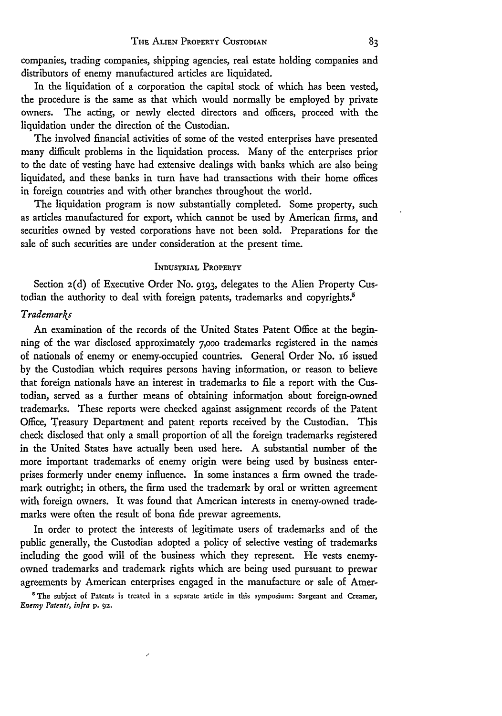companies, trading companies, shipping agencies, real estate holding companies and distributors of enemy manufactured articles are liquidated.

In the liquidation of a corporation the capital stock of which has been vested, the procedure is the same as that which would normally be employed by private owners. The acting, or newly elected directors and officers, proceed with the liquidation under the direction of the Custodian.

The involved financial activities of some of the vested enterprises have presented many difficult problems in the liquidation process. Many of the enterprises prior to the date of vesting have had extensive dealings with banks which are also being liquidated, and these banks in turn have had transactions with their home offices in foreign countries and with other branches throughout the world.

The liquidation program is now substantially completed. Some property, such as articles manufactured for export, which cannot be used by American firms, and securities owned by vested corporations have not been sold. Preparations for the sale of such securities are under consideration at the present time.

## INDUSTRIAL PROPERTY

Section 2(d) of Executive Order No. 9193, delegates to the Alien Property Custodian the authority to deal with foreign patents, trademarks and copyrights.<sup>5</sup>

# *Trademarks*

An examination of the records of the United States Patent Office at the beginning of the war disclosed approximately **7,000** trademarks registered in the names of nationals of enemy or enemy-occupied countries. General Order No. 16 issued by the Custodian which requires persons having information, or reason to believe that foreign nationals have an interest in trademarks to file a report with the Custodian, served as a further means of obtaining information about foreign-owned trademarks. These reports were checked against assignment records of the Patent Office, Treasury Department and patent reports received by the Custodian. This check disclosed that only a small proportion of all the foreign trademarks registered in the United States have actually been used here. A substantial number of the more important trademarks of enemy origin were being used by business enterprises formerly under enemy influence. In some instances a firm owned the trademark outright; in others, the firm used the trademark by oral or written agreement with foreign owners. It was found that American interests in enemy-owned trademarks were often the result of bona fide prewar agreements.

In order to protect the interests of legitimate users of trademarks and of the public generally, the Custodian adopted a policy of selective vesting of trademarks including the good will of the business which they represent. He vests enemyowned trademarks and trademark rights which are being used pursuant to prewar agreements by American enterprises engaged in the manufacture or sale of Amer-

<sup>5</sup> The subject of Patents is treated in a separate article in this symposium: Sargeant and Creamer, *Enemy Patents, infra* p. 92.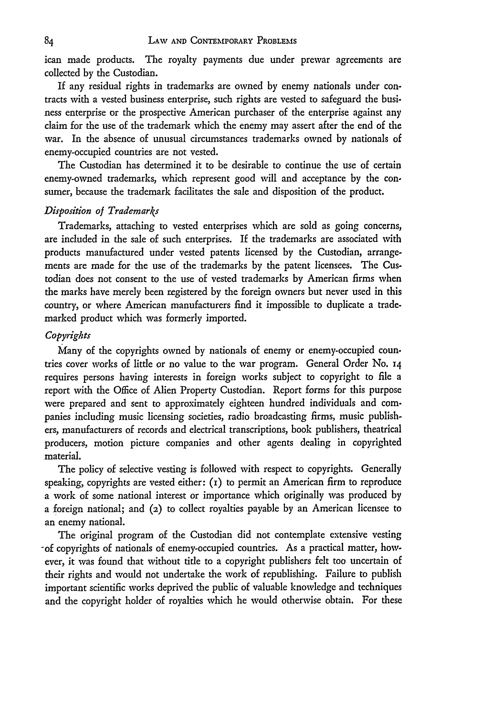ican made products. The royalty payments due under prewar agreements are collected **by** the Custodian.

**If** any residual rights in trademarks are owned **by** enemy nationals under contracts with a vested business enterprise, such rights are vested to safeguard the business enterprise or the prospective American purchaser of the enterprise against any claim for the use of the trademark which the enemy may assert after the end of **the** war. In the absence of unusual circumstances trademarks owned **by** nationals of enemy-occupied countries are not vested.

The Custodian has determined it to be desirable to continue the use of certain enemy-owned trademarks, which represent good will and acceptance **by** the consumer, because the trademark facilitates the sale and disposition of the product.

#### *Disposition of Trademarks*

Trademarks, attaching to vested enterprises which are sold as going concerns, are included in the sale of such enterprises. **If** the trademarks are associated with products manufactured under vested patents licensed **by** the Custodian, arrangements are made for the use of the trademarks **by** the patent licensees. The Custodian does not consent to the use of vested trademarks **by** American firms when the marks have merely been registered **by** the foreign owners but never used in this country, or where American manufacturers find **it** impossible to duplicate a trademarked product which was formerly imported.

# *Copyrights*

Many of the copyrights owned **by** nationals of enemy or enemy-occupied coun. tries cover works of little or no value to the war program. General Order No. **14** requires persons having interests in foreign works subject to copyright to **file** a report with the Office of Alien Property Custodian. Report forms for this purpose were prepared and sent to approximately eighteen hundred individuals and companies including music licensing societies, radio broadcasting firms, music publishers, manufacturers of records and electrical transcriptions, book publishers, theatrical producers, motion picture companies and other agents dealing in copyrighted material.

The policy of selective vesting is followed with respect to copyrights. Generally speaking, copyrights are vested either: **(i)** to permit an American firm to reproduce a work of some national interest or importance which originally was produced **by** a foreign national; and **(2)** to collect royalties payable **by** an American licensee to an enemy national.

The original program of the Custodian did not contemplate extensive vesting **-of** copyrights of nationals of enemy-occupied countries. As a practical matter, however, **it** was found that without tide to a copyright publishers felt too uncertain of their rights and would not undertake the work of republishing. Failure to publish important scientific works deprived the public of valuable knowledge and techniques and the copyright holder of royalties which he would otherwise obtain. For these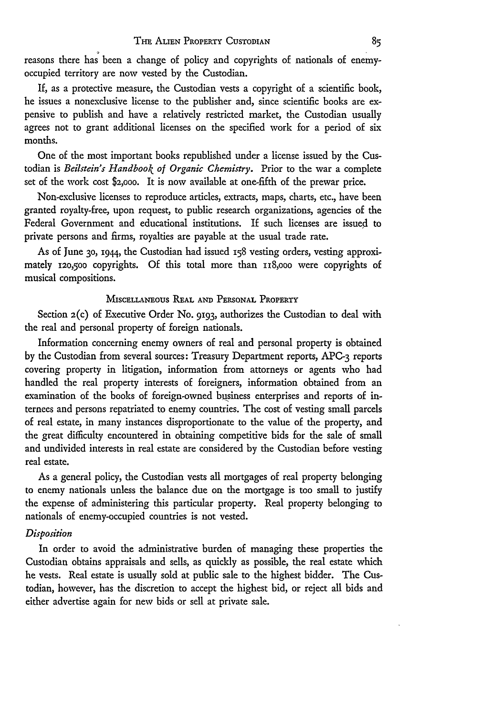reasons there has been a change of policy and copyrights of nationals of enemyoccupied territory are now vested by the Custodian.

If, as a protective measure, the Custodian vests a copyright of a scientific book, he issues a nonexclusive license to the publisher and, since scientific books are expensive to publish and have a relatively restricted market, the Custodian usually agrees not to grant additional licenses on the specified work for a period of six months.

One of the most important books republished under a license issued by the Custodian is *Beilstein's Handbook of Organic Chemistry.* Prior to the war a complete set of the work cost **\$2,000.** It is now available at one-fifth of the prewar price.

Non-exclusive licenses to reproduce articles, extracts, maps, charts, etc., have been granted royalty-free, upon request, to public research organizations, agencies of the Federal Government and educational institutions. If such licenses are issued to private persons and firms, royalties are payable at the usual trade rate.

As of June **30,** 1944, the Custodian had issued 158 vesting orders, vesting approximately 12o,5oo copyrights. Of this total more than ix8,ooo were copyrights of musical compositions.

# **ISCELLANEOUS REAL AND PERSONAL** PROPERTY

Section 2(c) of Executive Order No. **9193,** authorizes the Custodian to deal with the real and personal property of foreign nationals.

Information concerning enemy owners of real and personal property is obtained by the Custodian from several sources: Treasury Department reports, APC-3 reports covering property in litigation, information from attorneys or agents who had handled the real property interests of foreigners, information obtained from an examination of the books of foreign-owned business enterprises and reports of internees and persons repatriated to enemy countries. The cost of vesting small parcels of real estate, in many instances disproportionate to the value of the property, and the great difficulty encountered in obtaining competitive bids for the sale of small and undivided interests in real estate are considered by the Custodian before vesting real estate.

As a general policy, the Custodian vests all mortgages of real property belonging to enemy nationals unless the balance due on the mortgage is too small to justify the expense of administering this particular property. Real property belonging to nationals of enemy-occupied countries is not vested.

### *Disposition*

In order to avoid the administrative burden of managing these properties the Custodian obtains appraisals and sells, as quickly as possible, the real estate which he vests. Real estate is usually sold at public sale to the highest bidder. The Custodian, however, has the discretion to accept the highest bid, or reject all bids and either advertise again for new bids or sell at private sale.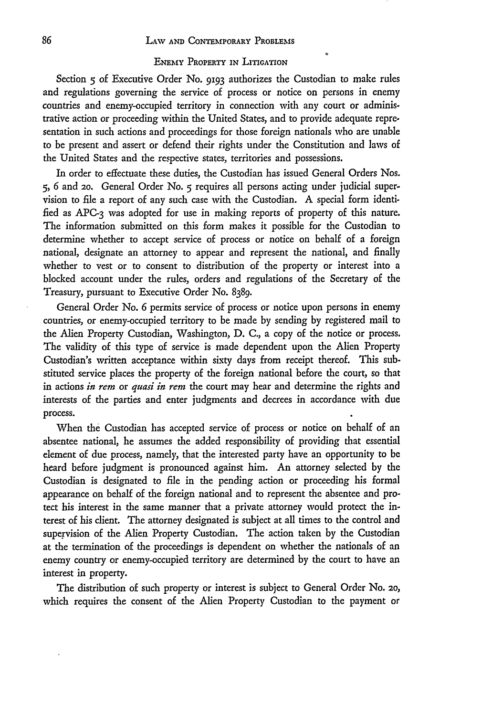#### LAW **AND** CONTEMPORARY PROBLEMS

# **ENEmY** PROPERTY **IN** LITIGATION

Section 5 of Executive Order No. 9193 authorizes the Custodian to make rules and regulations governing the service of process or notice on persons in enemy countries and enemy-occupied territory in connection with any court or administrative action or proceeding within the United States, and to provide adequate representation in such actions and proceedings for those foreign nationals who are unable to be present and assert or defend their rights under the Constitution and laws of the United States and the respective states, territories and possessions.

In order to effectuate these duties, the Custodian has issued General Orders Nos. **5,** 6 and **20.** General Order **No.** 5 requires all persons acting under judicial supervision to file a report of any such case with the Custodian. **A** special form identi. fied as **APC-3** was adopted for use in making reports of property of this nature. The information submitted on this form makes it possible for the Custodian to determine whether to accept service of process or notice on behalf of a foreign national, designate an attorney to appear and represent the national, and finally whether to vest or to consent to distribution of the property or interest into a blocked account under the rules, orders and regulations of the Secretary of the Treasury, pursuant to Executive Order No. **8389.**

General Order No. *6* permits service of process or notice upon persons in enemy countries, or enemy-occupied territory to be made **by** sending **by** registered mail to the Alien Property Custodian, Washington, **D. C.,** a copy of the notice or process. The validity of this type of service is made dependent upon the Alien Property Custodian's written acceptance within sixty days from receipt thereof. This substituted service places the property of the foreign national before the court, so that in actions *in rem* or *quasi in rem* the court may hear and determine the rights and interests of the parties and enter judgments and decrees in accordance with due process.

When the Custodian has accepted service of process or notice on behalf of an absentee national, he assumes the added responsibility of providing that essential element of due process, namely, that the interested party have an opportunity to **be** heard before judgment is pronounced against him. An attorney selected **by** the Custodian is designated to file in the pending action or proceeding his formal appearance on behalf of the foreign national and to represent the absentee and protect his interest in the same manner that a private attorney would protect the interest of his client. The attorney designated is subject at all times to the control and supervision of the Alien Property Custodian. The action taken **by** the Custodian at the termination of the proceedings is dependent on whether the nationals of an enemy country or enemy-occupied territory are determined **by** the court to have an interest in property.

The distribution of such property or interest is subject to General Order No. **2o,** which requires the consent of the Alien Property Custodian to the payment or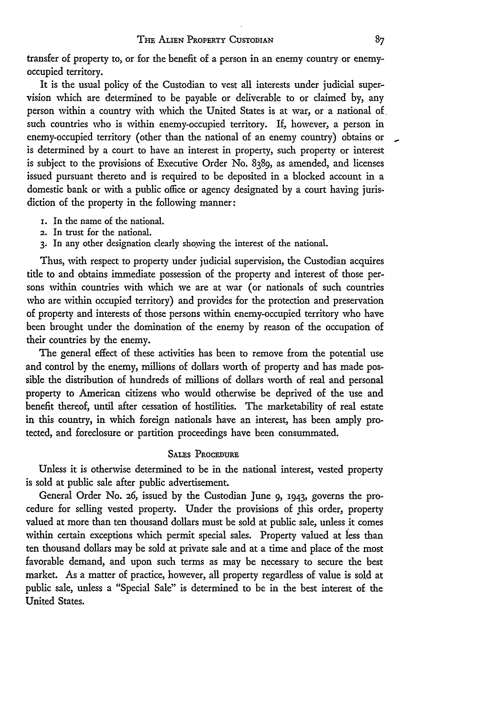transfer of property to, or for the benefit of a person in an enemy country or enemyoccupied territory.

It is the usual policy of the Custodian to vest all interests under judicial supervision which are determined to be payable or deliverable to or claimed by, any person within a country with which the United States is at war, or a national of such countries who is within enemy-occupied territory. If, however, a person in enemy-occupied territory (other than the national of an enemy country) obtains or is determined by a court to have an interest in property, such property or interest is subject to the provisions of Executive Order No. 8389, as amended, and licenses issued pursuant thereto and is required to be deposited in a blocked account in a domestic bank or with a public office or agency designated by a court having jurisdiction of the property in the following manner:

- **i.** In the name of the national.
- 2. In trust for the national.
- 3. In any other designation dearly shoping the interest of the national.

Thus, with respect to property under judicial supervision, the Custodian acquires title to and obtains immediate possession of the property and interest of those persons within countries with which we are at war (or nationals of such countries who are within occupied territory) and provides for the protection and preservation of property and interests of those persons within enemy-occupied territory who have been brought under the domination of the enemy by reason of the occupation of their countries by the enemy.

The general effect of these activities has been to remove from the potential use and control by the enemy, millions of dollars worth of property and has made possible the distribution of hundreds of millions of dollars worth of real and personal property to American citizens who would otherwise be deprived of the use and benefit thereof, until after cessation of hostilities. The marketability of real estate in this country, in which foreign nationals have an interest, has been amply protected, and foreclosure or partition proceedings have been consummated.

#### **SALEs** PRocEDuRE

Unless it is otherwise determined to be in the national interest, vested property is sold at public sale after public advertisement.

General Order No. 26, issued by the Custodian June 9, 1943, governs the procedure for selling vested property. Under the provisions of this order, property valued at more than ten thousand dollars must be sold at public sale, unless it comes within certain exceptions which permit special sales. Property valued at less than ten thousand dollars may be sold at private sale and at a time and place of the most favorable demand, and upon such terms as may be necessary to secure the best market. As a matter of practice, however, all property regardless of value is sold at public sale, unless a "Special Sale" is determined to be in the best interest of the United States.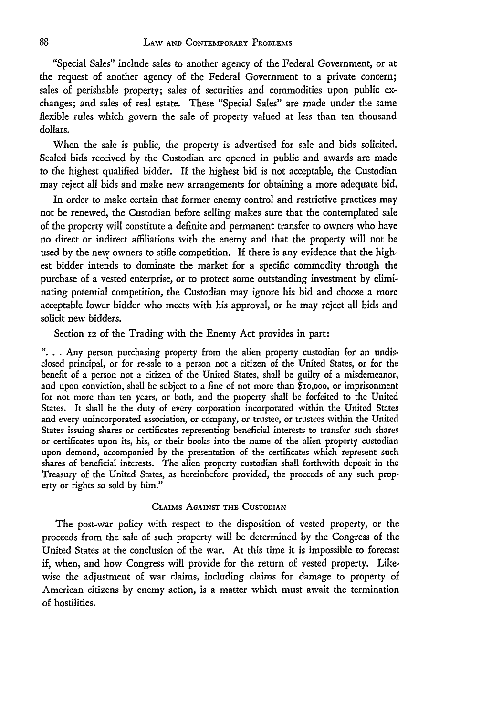"Special Sales" include sales to another agency of the Federal Government, or at the request of another agency of the Federal Government to a private concern; sales of perishable property; sales of securities and commodities upon public exchanges; and sales of real estate. These "Special Sales" are made under the same flexible rules which govern the sale of property valued at less than ten thousand dollars.

When the sale is public, the property is advertised for sale and bids solicited. Sealed bids received by the Custodian are opened in public and awards are made to the highest qualified bidder. If the highest bid is not acceptable, the Custodian may reject all bids and make new arrangements for obtaining a more adequate bid.

In order to make certain that former enemy control and restrictive practices may not be renewed, the Custodian before selling makes sure that the contemplated sale of the property will constitute a definite and permanent transfer to owners who have no direct or indirect affiliations with the enemy and that the property will not be used by the new owners to stifle competition. If there is any evidence that the highest bidder intends to dominate the market for a specific commodity through the purchase of a vested enterprise, or to protect some outstanding investment by eliminating potential competition, the Custodian may ignore his bid and choose a more acceptable lower bidder who meets with his approval, or he may reject all bids and solicit new bidders.

Section **i2** of the Trading with the Enemy Act provides in part:

**..** Any person purchasing property from the alien property custodian for an undisclosed principal, or for re-sale to a person not a citizen of the United States, or for the benefit of a person not a citizen of the United States, shall be guilty of a misdemeanor, and upon conviction, shall be subject to a fine of not more than \$io,ooo, or imprisonment for not more than ten years, or both, and the property shall be forfeited to the United States. It shall **be** the duty of every corporation incorporated within the United States and every unincorporated association, or company, or trustee, or trustees within the United States issuing shares or certificates representing beneficial interests to transfer such shares or certificates upon its, his, or their books into the name of the alien property custodian upon demand, accompanied by the presentation of the certificates which represent such shares of beneficial interests. The alien property custodian shall forthwith deposit in the Treasury of the United States, as hereinbefore provided, the proceeds of any such property or rights so sold by him."

### CLAIMS **AGAINST THE CUSTODIAN**

The post-war policy with respect to the disposition of vested property, or the proceeds from the sale of such property will be determined by the Congress of the United States at the conclusion of the war. At this time it is impossible to forecast if, when, and how Congress will provide for the return of vested property. Likewise the adjustment of war claims, including claims for damage to property of American citizens by enemy action, is a matter which must await the termination of hostilities.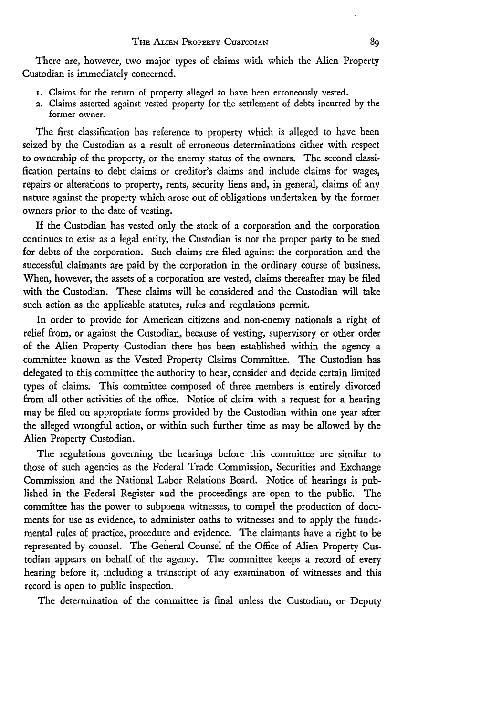There are, however, two major types of claims with which the Alien Property Custodian is immediately concerned.

- **i.** Claims for the return of property alleged to have been erroneously vested.
- 2. Claims asserted against vested property for the settlement of debts incurred by the former owner.

The first classification has reference to property which is alleged to have been seized by the Custodian as a result of erroneous determinations either with respect to ownership of the property, or the enemy status of the owners. The second classification pertains to debt claims or creditor's claims and include claims for wages, repairs or alterations to property, rents, security liens and, in general, claims of any nature against the property which arose out of obligations undertaken by the former owners prior to the date of vesting.

If the Custodian has vested only the stock of a corporation and the corporation continues to exist as a legal entity, the Custodian is not the proper party to be sued for debts of the corporation. Such claims are filed against the corporation and the successful claimants are paid by the corporation in the ordinary course of business. When, however, the assets of a corporation are vested, claims thereafter may be filed with the Custodian. These claims will be considered and the Custodian will take such action as the applicable statutes, rules and regulations permit.

In order to provide for American citizens and non-enemy nationals a right of relief from, or against the Custodian, because of vesting, supervisory or other order of the Alien Property Custodian there has been established within the agency a committee known as the Vested Property Claims Committee. The Custodian has delegated to this committee the authority to hear, consider and decide certain limited types of claims. This committee composed of three members is entirely divorced from all other activities of the office. Notice of claim with a request for a hearing may be filed on appropriate forms provided by the Custodian within one year after the alleged wrongful action, or within such further time as may be allowed by the Alien Property Custodian.

The regulations governing the hearings before this committee are similar to those of such agencies as the Federal Trade Commission, Securities and Exchange Commission and the National Labor Relations Board. Notice of hearings is published in the Federal Register and the proceedings are open to the public. The committee has the power to subpoena witnesses, to compel the production of documents for use as evidence, to administer oaths to witnesses and to apply the fundamental rules of practice, procedure and evidence. The claimants have a right to be represented by counsel. The General Counsel of the Office of Alien Property Custodian appears on behalf of the agency. The committee keeps a record of every hearing before it, including a transcript of any examination of witnesses and this record is open to public inspection.

The determination of the committee is final unless the Custodian, or Deputy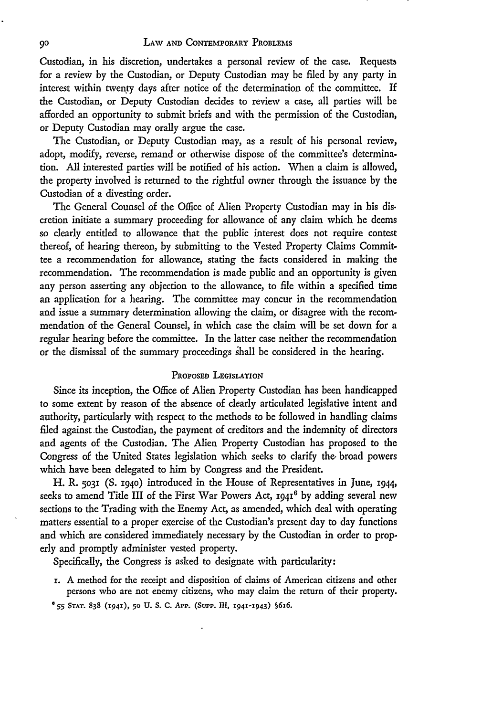Custodian, in his discretion, undertakes a personal review of the case. Requests for a review by the Custodian, or Deputy Custodian may be filed by any party in interest within twenty days after notice of the determination of the committee. If the Custodian, or Deputy Custodian decides to review a case, all parties will be afforded an opportunity to submit briefs and with the permission of the Custodian, or Deputy Custodian may orally argue the case.

The Custodian, or Deputy Custodian may, as a result of his personal review, adopt, modify, reverse, remand or otherwise dispose of the committee's determination. All interested parties will be notified of his action. When a claim is allowed, the property involved is returned to the rightful owner through the issuance by the Custodian of a divesting order.

The General Counsel of the Office of Alien Property Custodian may in his dis. cretion initiate a summary proceeding for allowance of any claim which he deems so clearly entitled to allowance that the public interest does not require contest thereof, of hearing thereon, by submitting to the Vested Property Claims Committee a recommendation for allowance, stating the facts considered in making the recommendation. The recommendation is made public and an opportunity is given any person asserting any objection to the allowance, to file within a specified time an application for a hearing. The committee may concur in the recommendation and issue a summary determination allowing the claim, or disagree with the recommendation of the General Counsel, in which case the claim will be set down for a regular hearing before the committee. In the latter case neither the recommendation or the dismissal of the summary proceedings shall be considered in the hearing.

### **PROPOSED LEGISLATION**

Since its inception, the Office of Alien Property Custodian has been handicapped to some extent by reason of the absence of clearly articulated legislative intent and authority, particularly with respect to the methods to be followed in handling claims filed against the Custodian, the payment of creditors and the indemnity of directors and agents of the Custodian. The Alien Property Custodian has proposed to the Congress of the United States legislation which seeks to clarify the broad powers which have been delegated to him by Congress and the President.

H. R. **5031 (S. 1940)** introduced in the House of Representatives in June, 1944, seeks to amend Title III of the First War Powers Act, **1941'** by adding several new sections to the Trading with the Enemy Act, as amended, which deal with operating matters essential to a proper exercise of the Custodian's present day to day functions and which are considered immediately necessary by the Custodian in order to properly and promptly administer vested property.

Specifically, the Congress is asked to designate with particularity:

- **i.** A method for the receipt and disposition of claims of American citizens and other persons who are not enemy citizens, who may claim the return of their property.
- **55** *STA.* **838 (194),** *50 U. S.* **C. App. (SUPP. Ill,** 1941-1943) **§66.**